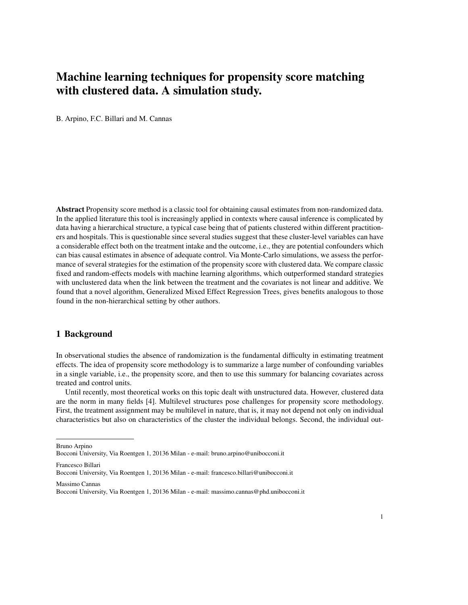# Machine learning techniques for propensity score matching with clustered data. A simulation study.

B. Arpino, F.C. Billari and M. Cannas

Abstract Propensity score method is a classic tool for obtaining causal estimates from non-randomized data. In the applied literature this tool is increasingly applied in contexts where causal inference is complicated by data having a hierarchical structure, a typical case being that of patients clustered within different practitioners and hospitals. This is questionable since several studies suggest that these cluster-level variables can have a considerable effect both on the treatment intake and the outcome, i.e., they are potential confounders which can bias causal estimates in absence of adequate control. Via Monte-Carlo simulations, we assess the performance of several strategies for the estimation of the propensity score with clustered data. We compare classic fixed and random-effects models with machine learning algorithms, which outperformed standard strategies with unclustered data when the link between the treatment and the covariates is not linear and additive. We found that a novel algorithm, Generalized Mixed Effect Regression Trees, gives benefits analogous to those found in the non-hierarchical setting by other authors.

### 1 Background

In observational studies the absence of randomization is the fundamental difficulty in estimating treatment effects. The idea of propensity score methodology is to summarize a large number of confounding variables in a single variable, i.e., the propensity score, and then to use this summary for balancing covariates across treated and control units.

Until recently, most theoretical works on this topic dealt with unstructured data. However, clustered data are the norm in many fields [4]. Multilevel structures pose challenges for propensity score methodology. First, the treatment assignment may be multilevel in nature, that is, it may not depend not only on individual characteristics but also on characteristics of the cluster the individual belongs. Second, the individual out-

Bruno Arpino

Bocconi University, Via Roentgen 1, 20136 Milan - e-mail: bruno.arpino@unibocconi.it

Francesco Billari

Massimo Cannas

Bocconi University, Via Roentgen 1, 20136 Milan - e-mail: francesco.billari@unibocconi.it

Bocconi University, Via Roentgen 1, 20136 Milan - e-mail: massimo.cannas@phd.unibocconi.it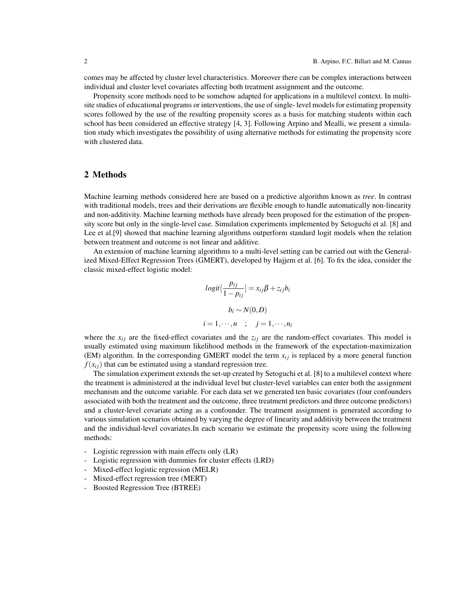comes may be affected by cluster level characteristics. Moreover there can be complex interactions between individual and cluster level covariates affecting both treatment assignment and the outcome.

Propensity score methods need to be somehow adapted for applications in a multilevel context. In multisite studies of educational programs or interventions, the use of single- level models for estimating propensity scores followed by the use of the resulting propensity scores as a basis for matching students within each school has been considered an effective strategy [4, 3]. Following Arpino and Mealli, we present a simulation study which investigates the possibility of using alternative methods for estimating the propensity score with clustered data.

#### 2 Methods

Machine learning methods considered here are based on a predictive algorithm known as *tree*. In contrast with traditional models, trees and their derivations are flexible enough to handle automatically non-linearity and non-additivity. Machine learning methods have already been proposed for the estimation of the propensity score but only in the single-level case. Simulation experiments implemented by Setoguchi et al. [8] and Lee et al.[9] showed that machine learning algorithms outperform standard logit models when the relation between treatment and outcome is not linear and additive.

An extension of machine learning algorithms to a multi-level setting can be carried out with the Generalized Mixed-Effect Regression Trees (GMERT), developed by Hajjem et al. [6]. To fix the idea, consider the classic mixed-effect logistic model:

$$
logit\left[\frac{p_{ij}}{1-p_{ij}}\right] = x_{ij}\beta + z_{ij}b_i
$$

$$
b_i \sim N(0, D)
$$

$$
i = 1, \dots, n \quad ; \quad j = 1, \dots, n_i
$$

where the  $x_{ij}$  are the fixed-effect covariates and the  $z_{ij}$  are the random-effect covariates. This model is usually estimated using maximum likelihood methods in the framework of the expectation-maximization (EM) algorithm. In the corresponding GMERT model the term  $x_{ij}$  is replaced by a more general function  $f(x_{ij})$  that can be estimated using a standard regression tree.

The simulation experiment extends the set-up created by Setoguchi et al. [8] to a multilevel context where the treatment is administered at the individual level but cluster-level variables can enter both the assignment mechanism and the outcome variable. For each data set we generated ten basic covariates (four confounders associated with both the treatment and the outcome, three treatment predictors and three outcome predictors) and a cluster-level covariate acting as a confounder. The treatment assignment is generated according to various simulation scenarios obtained by varying the degree of linearity and additivity between the treatment and the individual-level covariates.In each scenario we estimate the propensity score using the following methods:

- Logistic regression with main effects only (LR)
- Logistic regression with dummies for cluster effects (LRD)
- Mixed-effect logistic regression (MELR)
- Mixed-effect regression tree (MERT)
- Boosted Regression Tree (BTREE)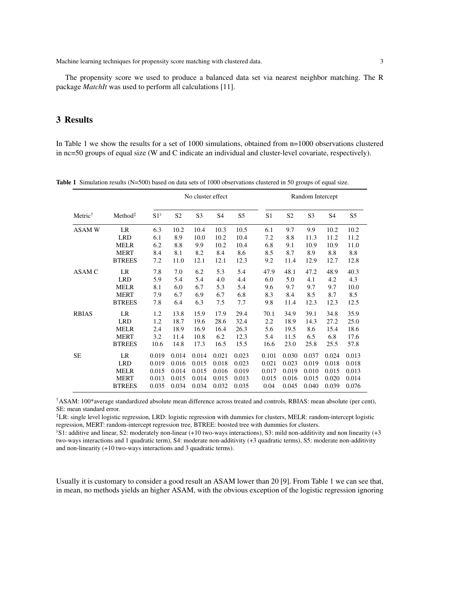Machine learning techniques for propensity score matching with clustered data. 3 3

The propensity score we used to produce a balanced data set via nearest neighbor matching. The R package *MatchIt* was used to perform all calculations [11].

## 3 Results

In Table 1 we show the results for a set of 1000 simulations, obtained from  $n=1000$  observations clustered in nc=50 groups of equal size (W and C indicate an individual and cluster-level covariate, respectively).

|                     |              | No cluster effect |                |                |                |       | Random Intercept |                |       |                |  |
|---------------------|--------------|-------------------|----------------|----------------|----------------|-------|------------------|----------------|-------|----------------|--|
| Method <sup>‡</sup> | $S1^{\flat}$ | S <sub>2</sub>    | S <sub>3</sub> | S <sub>4</sub> | S <sub>5</sub> | S1    | S <sub>2</sub>   | S <sub>3</sub> | S4    | S <sub>5</sub> |  |
| LR                  | 6.3          | 10.2              | 10.4           | 10.3           | 10.5           | 6.1   | 9.7              | 9.9            | 10.2  | 10.2           |  |
| <b>LRD</b>          | 6.1          | 8.9               | 10.0           | 10.2           | 10.4           | 7.2   | 8.8              | 11.3           | 11.2  | 11.2           |  |
| <b>MELR</b>         | 6.2          | 8.8               | 9.9            | 10.2           | 10.4           | 6.8   | 9.1              | 10.9           | 10.9  | 11.0           |  |
| <b>MERT</b>         | 8.4          | 8.1               | 8.2            | 8.4            | 8.6            | 8.5   | 8.7              | 8.9            | 8.8   | 8.8            |  |
| <b>BTREES</b>       | 7.2          | 11.0              | 12.1           | 12.1           | 12.3           | 9.2   | 11.4             | 12.9           | 12.7  | 12.8           |  |
| LR                  | 7.8          | 7.0               | 6.2            | 5.3            | 5.4            | 47.9  | 48.1             | 47.2           | 48.9  | 40.3           |  |
| <b>LRD</b>          | 5.9          | 5.4               | 5.4            | 4.0            | 4.4            | 6.0   | 5.0              | 4.1            | 4.2   | 4.3            |  |
| <b>MELR</b>         | 8.1          | 6.0               | 6.7            | 5.3            | 5.4            | 9.6   | 9.7              | 9.7            | 9.7   | 10.0           |  |
| <b>MERT</b>         | 7.9          | 6.7               | 6.9            | 6.7            | 6.8            | 8.3   | 8.4              | 8.5            | 8.7   | 8.5            |  |
| <b>BTREES</b>       | 7.8          | 6.4               | 6.3            | 7.5            | 7.7            | 9.8   | 11.4             | 12.3           | 12.3  | 12.5           |  |
| <b>LR</b>           | 1.2          | 13.8              | 15.9           | 17.9           | 29.4           | 70.1  | 34.9             | 39.1           | 34.8  | 35.9           |  |
| <b>LRD</b>          | 1.2          | 18.7              | 19.6           | 28.6           | 32.4           | 2.2   | 18.9             | 14.3           | 27.2  | 25.0           |  |
| <b>MELR</b>         | 2.4          | 18.9              | 16.9           | 16.4           | 26.3           | 5.6   | 19.5             | 8.6            | 15.4  | 18.6           |  |
| <b>MERT</b>         | 3.2          | 11.4              | 10.8           | 6.2            | 12.3           | 5.4   | 11.5             | 6.5            | 6.8   | 17.6           |  |
| <b>BTREES</b>       | 10.6         | 14.8              | 17.3           | 16.5           | 15.5           | 16.6  | 23.0             | 25.8           | 25.5  | 57.8           |  |
| LR                  | 0.019        | 0.014             | 0.014          | 0.021          | 0.023          | 0.101 | 0.030            | 0.037          | 0.024 | 0.013          |  |
| <b>LRD</b>          | 0.019        | 0.016             | 0.015          | 0.018          | 0.023          | 0.021 | 0.023            | 0.019          | 0.018 | 0.018          |  |
| <b>MELR</b>         | 0.015        | 0.014             | 0.015          | 0.016          | 0.019          | 0.017 | 0.019            | 0.010          | 0.015 | 0.013          |  |
| <b>MERT</b>         | 0.013        | 0.015             | 0.014          | 0.015          | 0.013          | 0.015 | 0.016            | 0.015          | 0.020 | 0.014          |  |
| <b>BTREES</b>       | 0.035        | 0.034             | 0.034          | 0.032          | 0.035          | 0.04  | 0.045            | 0.040          | 0.039 | 0.076          |  |
|                     |              |                   |                |                |                |       |                  |                |       |                |  |

Table 1 Simulation results (N=500) based on data sets of 1000 observations clustered in 50 groups of equal size.

†ASAM: 100\*average standardized absolute mean difference across treated and controls, RBIAS: mean absolute (per cent), SE: mean standard error.

‡LR: single level logistic regression, LRD: logistic regression with dummies for clusters, MELR: random-intercept logistic regression, MERT: random-intercept regression tree, BTREE: boosted tree with dummies for clusters.

! S1: additive and linear, S2: moderately non-linear (+10 two-ways interactions), S3: mild non-additivity and non linearity (+3 two-ways interactions and 1 quadratic term), S4: moderate non-additivity (+3 quadratic terms), S5: moderate non-additivity and non-linearity (+10 two-ways interactions and 3 quadratic terms).

Usually it is customary to consider a good result an ASAM lower than 20 [9]. From Table 1 we can see that, in mean, no methods yields an higher ASAM, with the obvious exception of the logistic regression ignoring